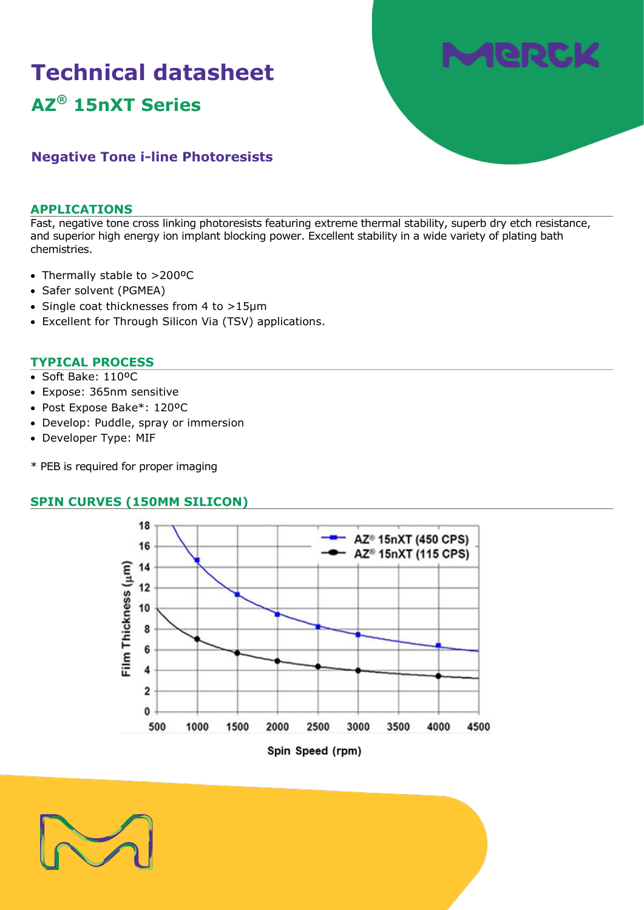# **Technical datasheet AZ® 15nXT Series**



# **Negative Tone i-line Photoresists**

### **APPLICATIONS**

Fast, negative tone cross linking photoresists featuring extreme thermal stability, superb dry etch resistance, and superior high energy ion implant blocking power. Excellent stability in a wide variety of plating bath chemistries.

- Thermally stable to >200ºC
- Safer solvent (PGMEA)
- Single coat thicknesses from 4 to >15µm
- Excellent for Through Silicon Via (TSV) applications.

### **TYPICAL PROCESS**

- Soft Bake: 110ºC
- Expose: 365nm sensitive
- Post Expose Bake\*: 120ºC
- Develop: Puddle, spray or immersion
- Developer Type: MIF
- \* PEB is required for proper imaging

### **SPIN CURVES (150MM SILICON)**



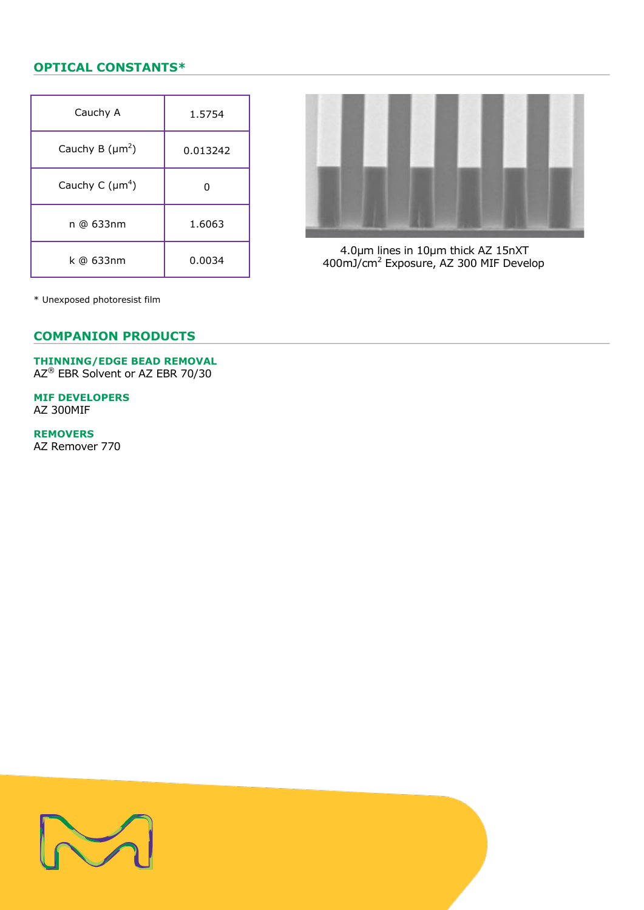## **OPTICAL CONSTANTS\***

| Cauchy A             | 1.5754   |
|----------------------|----------|
| Cauchy B $(\mu m^2)$ | 0.013242 |
| Cauchy C $(\mu m^4)$ |          |
| n @ 633nm            | 1.6063   |
| k @ 633nm            | 0.0034   |



 4.0µm lines in 10µm thick AZ 15nXT 400mJ/cm<sup>2</sup> Exposure, AZ 300 MIF Develop

\* Unexposed photoresist film

### **COMPANION PRODUCTS**

# **THINNING/EDGE BEAD REMOVAL**

AZ® EBR Solvent or AZ EBR 70/30

**MIF DEVELOPERS** AZ 300MIF

**REMOVERS**

AZ Remover 770

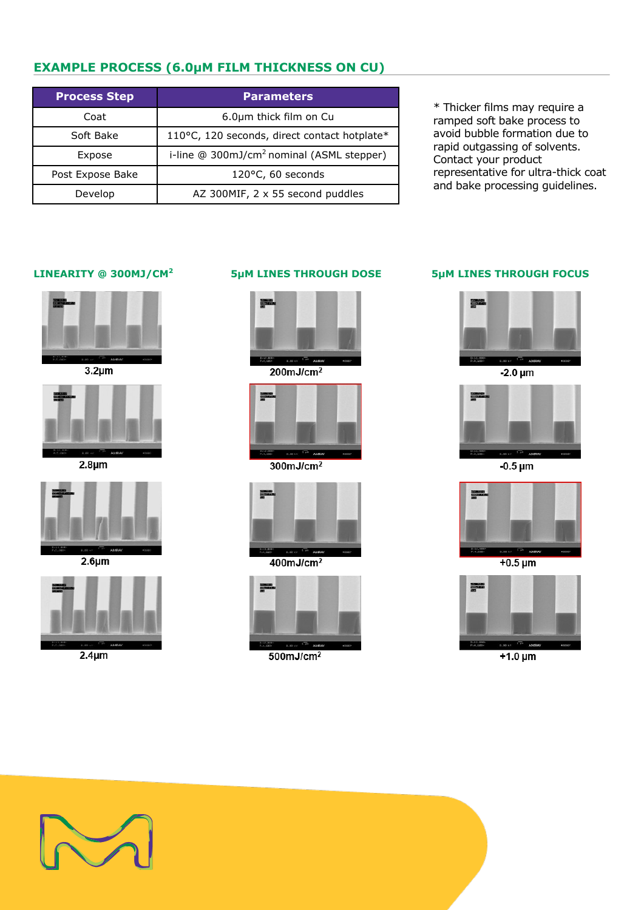# **EXAMPLE PROCESS (6.0µM FILM THICKNESS ON CU)**

| <b>Process Step</b> | <b>Parameters</b>                                     |
|---------------------|-------------------------------------------------------|
| Coat                | 6.0µm thick film on Cu                                |
| Soft Bake           | 110°C, 120 seconds, direct contact hotplate*          |
| Expose              | i-line @ 300mJ/cm <sup>2</sup> nominal (ASML stepper) |
| Post Expose Bake    | $120^{\circ}$ C, 60 seconds                           |
| Develop             | AZ 300MIF, 2 x 55 second puddles                      |

\* Thicker films may require a ramped soft bake process to avoid bubble formation due to rapid outgassing of solvents. Contact your product representative for ultra-thick coat and bake processing guidelines.

### **LINEARITY @ 300MJ/CM<sup>2</sup>**



 $3.2 \mu m$ 



 $2.8 \mu m$ 



 $2.6 \mu m$ 



 $2.4 \mu m$ 

### **5µM LINES THROUGH DOSE 5µM LINES THROUGH FOCUS**



 $200mJ/cm<sup>2</sup>$ 



 $300 \text{mJ/cm}^2$ 



 $400mJ/cm<sup>2</sup>$ 





 $-2.0 \mu m$ 



 $-0.5 \mu m$ 



 $+0.5 \,\mathrm{\mu m}$ 



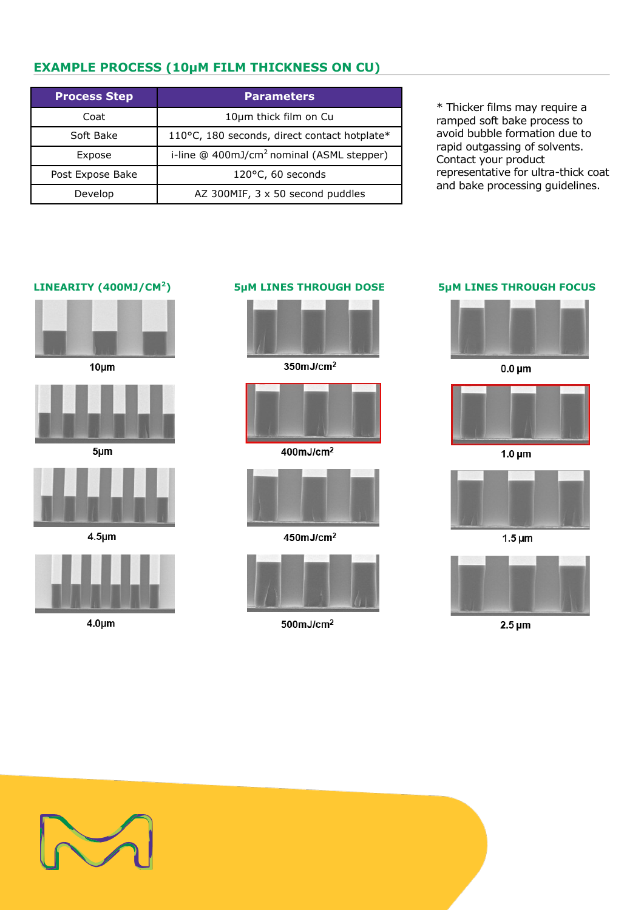# **EXAMPLE PROCESS (10µM FILM THICKNESS ON CU)**

| <b>Process Step</b> | <b>Parameters</b>                                     |
|---------------------|-------------------------------------------------------|
| Coat                | 10um thick film on Cu                                 |
| Soft Bake           | 110°C, 180 seconds, direct contact hotplate*          |
| Expose              | i-line @ 400mJ/cm <sup>2</sup> nominal (ASML stepper) |
| Post Expose Bake    | 120°C, 60 seconds                                     |
| Develop             | AZ 300MIF, 3 x 50 second puddles                      |

\* Thicker films may require a ramped soft bake process to avoid bubble formation due to rapid outgassing of solvents. Contact your product representative for ultra-thick coat and bake processing guidelines.

### **LINEARITY (400MJ/CM<sup>2</sup>**



 $10 \mu m$ 



 $5 \mu m$ 



 $4.5 \mu m$ 



 $4.0 \mu m$ 

# 350mJ/cm<sup>2</sup>



400mJ/cm<sup>2</sup>



450mJ/cm<sup>2</sup>



 $500$ mJ/cm $^2$ 

### **) 5µM LINES THROUGH DOSE 5µM LINES THROUGH FOCUS**



 $0.0 \mu m$ 



 $1.0 \mu m$ 



 $2.5 \,\mathrm{\upmu m}$ 

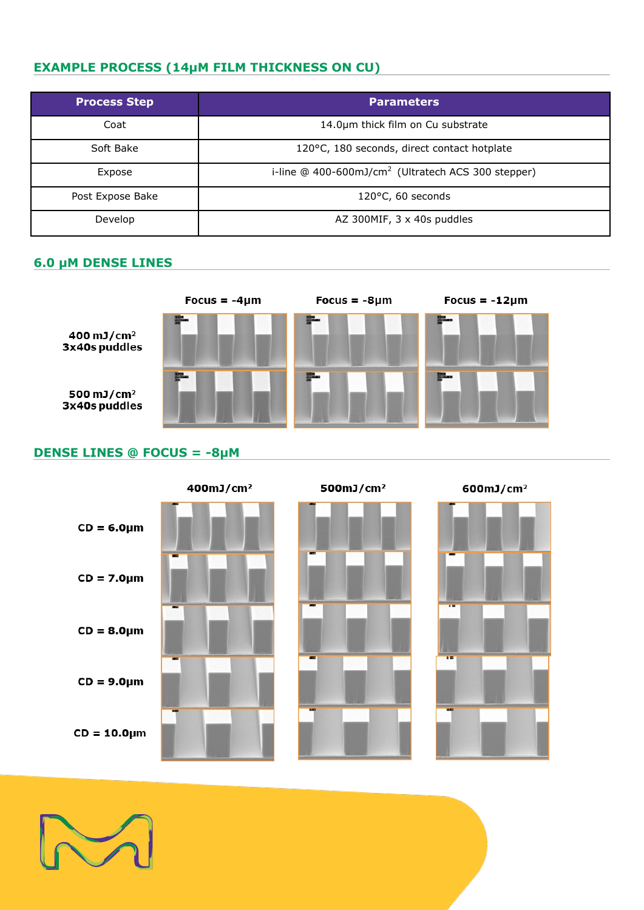# **EXAMPLE PROCESS (14µM FILM THICKNESS ON CU)**

| <b>Process Step</b> | <b>Parameters</b>                                              |
|---------------------|----------------------------------------------------------------|
| Coat                | 14.0um thick film on Cu substrate                              |
| Soft Bake           | 120°C, 180 seconds, direct contact hotplate                    |
| Expose              | i-line @ 400-600mJ/cm <sup>2</sup> (Ultratech ACS 300 stepper) |
| Post Expose Bake    | 120°C, 60 seconds                                              |
| Develop             | AZ 300MIF, 3 x 40s puddles                                     |

### **6.0 µM DENSE LINES**



# **DENSE LINES @ FOCUS = -8µM**



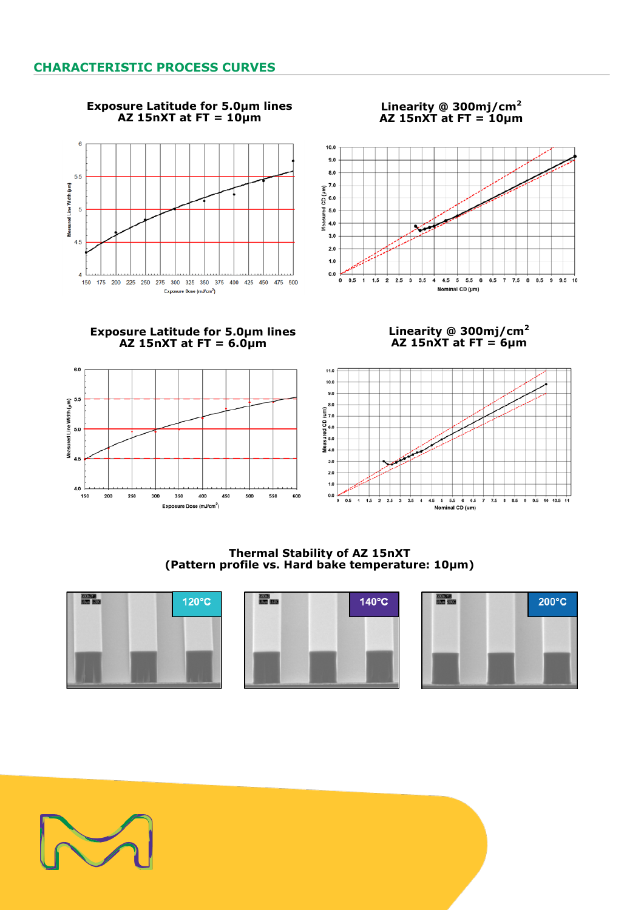

### **Exposure Latitude for 5.0μm lines AZ 15nXT at FT = 10μm**





**Exposure Latitude for 5.0μm lines AZ 15nXT at FT = 6.0μm**



**Linearity @ 300mj/cm<sup>2</sup> AZ 15nXT at FT = 6μm**



**Thermal Stability of AZ 15nXT (Pattern profile vs. Hard bake temperature: 10μm)**







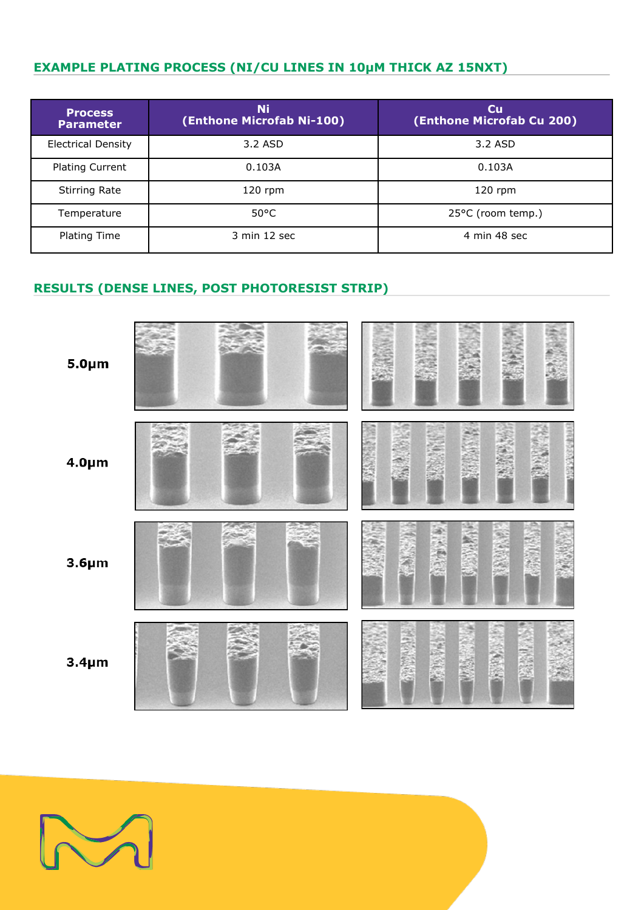# **EXAMPLE PLATING PROCESS (NI/CU LINES IN 10µM THICK AZ 15NXT)**

| <b>Process</b><br><b>Parameter</b> | Ni<br>(Enthone Microfab Ni-100) | $\mathbf{C}\mathbf{u}$<br>(Enthone Microfab Cu 200) |
|------------------------------------|---------------------------------|-----------------------------------------------------|
| <b>Electrical Density</b>          | 3.2 ASD                         | 3.2 ASD                                             |
| <b>Plating Current</b>             | 0.103A                          | 0.103A                                              |
| <b>Stirring Rate</b>               | $120$ rpm                       | $120$ rpm                                           |
| Temperature                        | $50^{\circ}$ C                  | 25°C (room temp.)                                   |
| Plating Time                       | 3 min 12 sec                    | 4 min 48 sec                                        |

# **RESULTS (DENSE LINES, POST PHOTORESIST STRIP)**



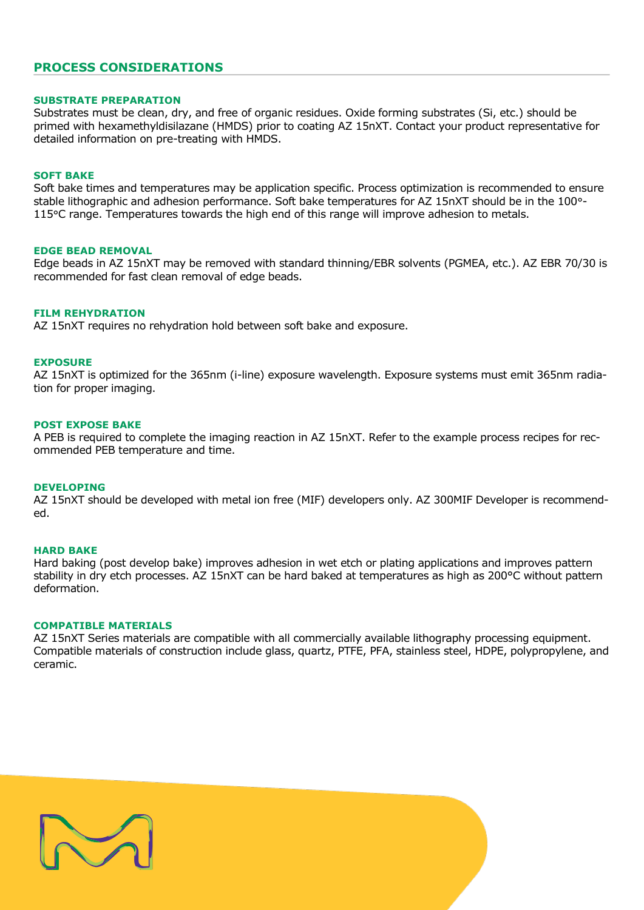### **PROCESS CONSIDERATIONS**

### **SUBSTRATE PREPARATION**

Substrates must be clean, dry, and free of organic residues. Oxide forming substrates (Si, etc.) should be primed with hexamethyldisilazane (HMDS) prior to coating AZ 15nXT. Contact your product representative for detailed information on pre-treating with HMDS.

### **SOFT BAKE**

Soft bake times and temperatures may be application specific. Process optimization is recommended to ensure stable lithographic and adhesion performance. Soft bake temperatures for AZ 15nXT should be in the 100°- 115°C range. Temperatures towards the high end of this range will improve adhesion to metals.

### **EDGE BEAD REMOVAL**

Edge beads in AZ 15nXT may be removed with standard thinning/EBR solvents (PGMEA, etc.). AZ EBR 70/30 is recommended for fast clean removal of edge beads.

### **FILM REHYDRATION**

AZ 15nXT requires no rehydration hold between soft bake and exposure.

### **EXPOSURE**

AZ 15nXT is optimized for the 365nm (i-line) exposure wavelength. Exposure systems must emit 365nm radiation for proper imaging.

### **POST EXPOSE BAKE**

A PEB is required to complete the imaging reaction in AZ 15nXT. Refer to the example process recipes for recommended PEB temperature and time.

### **DEVELOPING**

AZ 15nXT should be developed with metal ion free (MIF) developers only. AZ 300MIF Developer is recommended.

### **HARD BAKE**

Hard baking (post develop bake) improves adhesion in wet etch or plating applications and improves pattern stability in dry etch processes. AZ 15nXT can be hard baked at temperatures as high as 200°C without pattern deformation.

### **COMPATIBLE MATERIALS**

AZ 15nXT Series materials are compatible with all commercially available lithography processing equipment. Compatible materials of construction include glass, quartz, PTFE, PFA, stainless steel, HDPE, polypropylene, and ceramic.